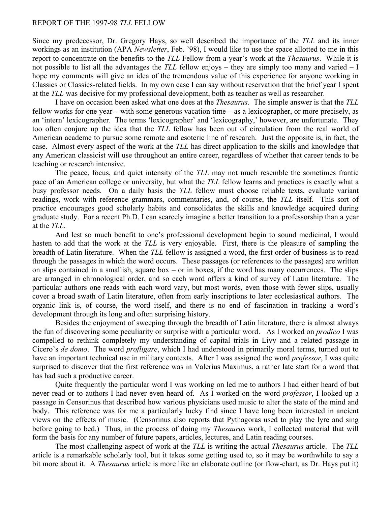## REPORT OF THE 1997-98 *TLL* FELLOW

Since my predecessor, Dr. Gregory Hays, so well described the importance of the *TLL* and its inner workings as an institution (APA *Newsletter*, Feb. '98), I would like to use the space allotted to me in this report to concentrate on the benefits to the *TLL* Fellow from a year's work at the *Thesaurus*. While it is not possible to list all the advantages the *TLL* fellow enjoys *–* they are simply too many and varied *–* I hope my comments will give an idea of the tremendous value of this experience for anyone working in Classics or Classics-related fields. In my own case I can say without reservation that the brief year I spent at the *TLL* was decisive for my professional development, both as teacher as well as researcher.

I have on occasion been asked what one does at the *Thesaurus*. The simple answer is that the *TLL* fellow works for one year *–* with some generous vacation time *–* as a lexicographer, or more precisely, as an 'intern' lexicographer. The terms 'lexicographer' and 'lexicography,' however, are unfortunate. They too often conjure up the idea that the *TLL* fellow has been out of circulation from the real world of American academe to pursue some remote and esoteric line of research. Just the opposite is, in fact, the case. Almost every aspect of the work at the *TLL* has direct application to the skills and knowledge that any American classicist will use throughout an entire career, regardless of whether that career tends to be teaching or research intensive.

The peace, focus, and quiet intensity of the *TLL* may not much resemble the sometimes frantic pace of an American college or university, but what the *TLL* fellow learns and practices is exactly what a busy professor needs. On a daily basis the *TLL* fellow must choose reliable texts, evaluate variant readings, work with reference grammars, commentaries, and, of course, the *TLL* itself. This sort of practice encourages good scholarly habits and consolidates the skills and knowledge acquired during graduate study. For a recent Ph.D. I can scarcely imagine a better transition to a professorship than a year at the *TLL*.

And lest so much benefit to one's professional development begin to sound medicinal, I would hasten to add that the work at the *TLL* is very enjoyable. First, there is the pleasure of sampling the breadth of Latin literature. When the *TLL* fellow is assigned a word, the first order of business is to read through the passages in which the word occurs. These passages (or references to the passages) are written on slips contained in a smallish, square box *–* or in boxes, if the word has many occurrences. The slips are arranged in chronological order, and so each word offers a kind of survey of Latin literature. The particular authors one reads with each word vary, but most words, even those with fewer slips, usually cover a broad swath of Latin literature, often from early inscriptions to later ecclesiastical authors. The organic link is, of course, the word itself, and there is no end of fascination in tracking a word's development through its long and often surprising history.

Besides the enjoyment of sweeping through the breadth of Latin literature, there is almost always the fun of discovering some peculiarity or surprise with a particular word. As I worked on *prodico* I was compelled to rethink completely my understanding of capital trials in Livy and a related passage in Cicero's *de domo*. The word *profligare*, which I had understood in primarily moral terms, turned out to have an important technical use in military contexts. After I was assigned the word *professor*, I was quite surprised to discover that the first reference was in Valerius Maximus, a rather late start for a word that has had such a productive career.

Quite frequently the particular word I was working on led me to authors I had either heard of but never read or to authors I had never even heard of. As I worked on the word *professor*, I looked up a passage in Censorinus that described how various physicians used music to alter the state of the mind and body. This reference was for me a particularly lucky find since I have long been interested in ancient views on the effects of music. (Censorinus also reports that Pythagoras used to play the lyre and sing before going to bed.) Thus, in the process of doing my *Thesaurus* work, I collected material that will form the basis for any number of future papers, articles, lectures, and Latin reading courses.

The most challenging aspect of work at the *TLL* is writing the actual *Thesaurus* article. The *TLL* article is a remarkable scholarly tool, but it takes some getting used to, so it may be worthwhile to say a bit more about it. A *Thesaurus* article is more like an elaborate outline (or flow-chart, as Dr. Hays put it)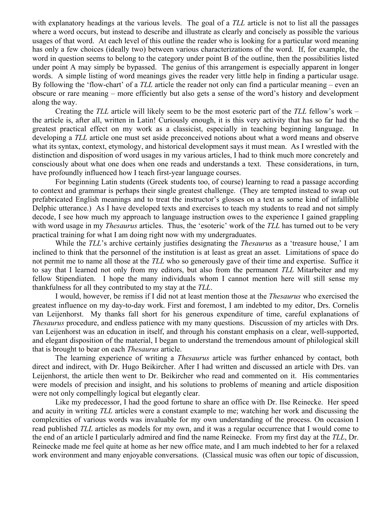with explanatory headings at the various levels. The goal of a *TLL* article is not to list all the passages where a word occurs, but instead to describe and illustrate as clearly and concisely as possible the various usages of that word. At each level of this outline the reader who is looking for a particular word meaning has only a few choices (ideally two) between various characterizations of the word. If, for example, the word in question seems to belong to the category under point B of the outline, then the possibilities listed under point A may simply be bypassed. The genius of this arrangement is especially apparent in longer words. A simple listing of word meanings gives the reader very little help in finding a particular usage. By following the 'flow-chart' of a *TLL* article the reader not only can find a particular meaning *–* even an obscure or rare meaning *–* more efficiently but also gets a sense of the word's history and development along the way.

Creating the *TLL* article will likely seem to be the most esoteric part of the *TLL* fellow's work *–* the article is, after all, written in Latin! Curiously enough, it is this very activity that has so far had the greatest practical effect on my work as a classicist, especially in teaching beginning language. In developing a *TLL* article one must set aside preconceived notions about what a word means and observe what its syntax, context, etymology, and historical development says it must mean. As I wrestled with the distinction and disposition of word usages in my various articles, I had to think much more concretely and consciously about what one does when one reads and understands a text. These considerations, in turn, have profoundly influenced how I teach first-year language courses.

For beginning Latin students (Greek students too, of course) learning to read a passage according to context and grammar is perhaps their single greatest challenge. (They are tempted instead to swap out prefabricated English meanings and to treat the instructor's glosses on a text as some kind of infallible Delphic utterance.) As I have developed texts and exercises to teach my students to read and not simply decode, I see how much my approach to language instruction owes to the experience I gained grappling with word usage in my *Thesaurus* articles. Thus, the 'esoteric' work of the *TLL* has turned out to be very practical training for what I am doing right now with my undergraduates.

While the *TLL*'s archive certainly justifies designating the *Thesaurus* as a 'treasure house,' I am inclined to think that the personnel of the institution is at least as great an asset. Limitations of space do not permit me to name all those at the *TLL* who so generously gave of their time and expertise. Suffice it to say that I learned not only from my editors, but also from the permanent *TLL* Mitarbeiter and my fellow Stipendiaten. I hope the many individuals whom I cannot mention here will still sense my thankfulness for all they contributed to my stay at the *TLL*.

I would, however, be remiss if I did not at least mention those at the *Thesaurus* who exercised the greatest influence on my day-to-day work. First and foremost, I am indebted to my editor, Drs. Cornelis van Leijenhorst. My thanks fall short for his generous expenditure of time, careful explanations of *Thesaurus* procedure, and endless patience with my many questions. Discussion of my articles with Drs. van Leijenhorst was an education in itself, and through his constant emphasis on a clear, well-supported, and elegant disposition of the material, I began to understand the tremendous amount of philological skill that is brought to bear on each *Thesaurus* article.

The learning experience of writing a *Thesaurus* article was further enhanced by contact, both direct and indirect, with Dr. Hugo Beikircher. After I had written and discussed an article with Drs. van Leijenhorst, the article then went to Dr. Beikircher who read and commented on it. His commentaries were models of precision and insight, and his solutions to problems of meaning and article disposition were not only compellingly logical but elegantly clear.

Like my predecessor, I had the good fortune to share an office with Dr. Ilse Reinecke. Her speed and acuity in writing *TLL* articles were a constant example to me; watching her work and discussing the complexities of various words was invaluable for my own understanding of the process. On occasion I read published *TLL* articles as models for my own, and it was a regular occurrence that I would come to the end of an article I particularly admired and find the name Reinecke. From my first day at the *TLL*, Dr. Reinecke made me feel quite at home as her new office mate, and I am much indebted to her for a relaxed work environment and many enjoyable conversations. (Classical music was often our topic of discussion,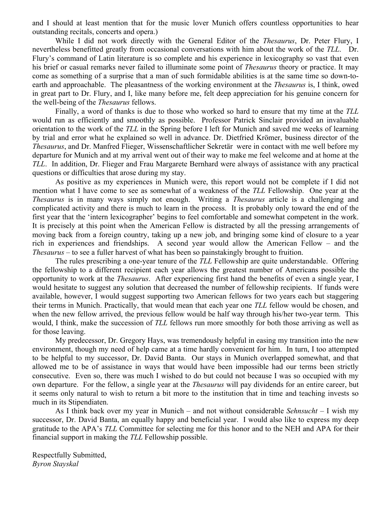and I should at least mention that for the music lover Munich offers countless opportunities to hear outstanding recitals, concerts and opera.)

While I did not work directly with the General Editor of the *Thesaurus*, Dr. Peter Flury, I nevertheless benefitted greatly from occasional conversations with him about the work of the *TLL*. Dr. Flury's command of Latin literature is so complete and his experience in lexicography so vast that even his brief or casual remarks never failed to illuminate some point of *Thesaurus* theory or practice. It may come as something of a surprise that a man of such formidable abilities is at the same time so down-toearth and approachable. The pleasantness of the working environment at the *Thesaurus* is, I think, owed in great part to Dr. Flury, and I, like many before me, felt deep appreciation for his genuine concern for the well-being of the *Thesaurus* fellows.

Finally, a word of thanks is due to those who worked so hard to ensure that my time at the *TLL* would run as efficiently and smoothly as possible. Professor Patrick Sinclair provided an invaluable orientation to the work of the *TLL* in the Spring before I left for Munich and saved me weeks of learning by trial and error what he explained so well in advance. Dr. Dietfried Krömer, business director of the *Thesaurus*, and Dr. Manfred Flieger, Wissenschaftlicher Sekretär were in contact with me well before my departure for Munich and at my arrival went out of their way to make me feel welcome and at home at the *TLL*. In addition, Dr. Flieger and Frau Margarete Bernhard were always of assistance with any practical questions or difficulties that arose during my stay.

As positive as my experiences in Munich were, this report would not be complete if I did not mention what I have come to see as somewhat of a weakness of the *TLL* Fellowship. One year at the *Thesaurus* is in many ways simply not enough. Writing a *Thesaurus* article is a challenging and complicated activity and there is much to learn in the process. It is probably only toward the end of the first year that the 'intern lexicographer' begins to feel comfortable and somewhat competent in the work. It is precisely at this point when the American Fellow is distracted by all the pressing arrangements of moving back from a foreign country, taking up a new job, and bringing some kind of closure to a year rich in experiences and friendships. A second year would allow the American Fellow *–* and the *Thesaurus –* to see a fuller harvest of what has been so painstakingly brought to fruition.

The rules prescribing a one-year tenure of the *TLL* Fellowship are quite understandable. Offering the fellowship to a different recipient each year allows the greatest number of Americans possible the opportunity to work at the *Thesaurus*. After experiencing first hand the benefits of even a single year, I would hesitate to suggest any solution that decreased the number of fellowship recipients. If funds were available, however, I would suggest supporting two American fellows for two years each but staggering their terms in Munich. Practically, that would mean that each year one *TLL* fellow would be chosen, and when the new fellow arrived, the previous fellow would be half way through his/her two-year term. This would, I think, make the succession of *TLL* fellows run more smoothly for both those arriving as well as for those leaving.

My predecessor, Dr. Gregory Hays, was tremendously helpful in easing my transition into the new environment, though my need of help came at a time hardly convenient for him. In turn, I too attempted to be helpful to my successor, Dr. David Banta. Our stays in Munich overlapped somewhat, and that allowed me to be of assistance in ways that would have been impossible had our terms been strictly consecutive. Even so, there was much I wished to do but could not because I was so occupied with my own departure. For the fellow, a single year at the *Thesaurus* will pay dividends for an entire career, but it seems only natural to wish to return a bit more to the institution that in time and teaching invests so much in its Stipendiaten.

As I think back over my year in Munich *–* and not without considerable *Sehnsucht –* I wish my successor, Dr. David Banta, an equally happy and beneficial year. I would also like to express my deep gratitude to the APA's *TLL* Committee for selecting me for this honor and to the NEH and APA for their financial support in making the *TLL* Fellowship possible.

Respectfully Submitted, *Byron Stayskal*